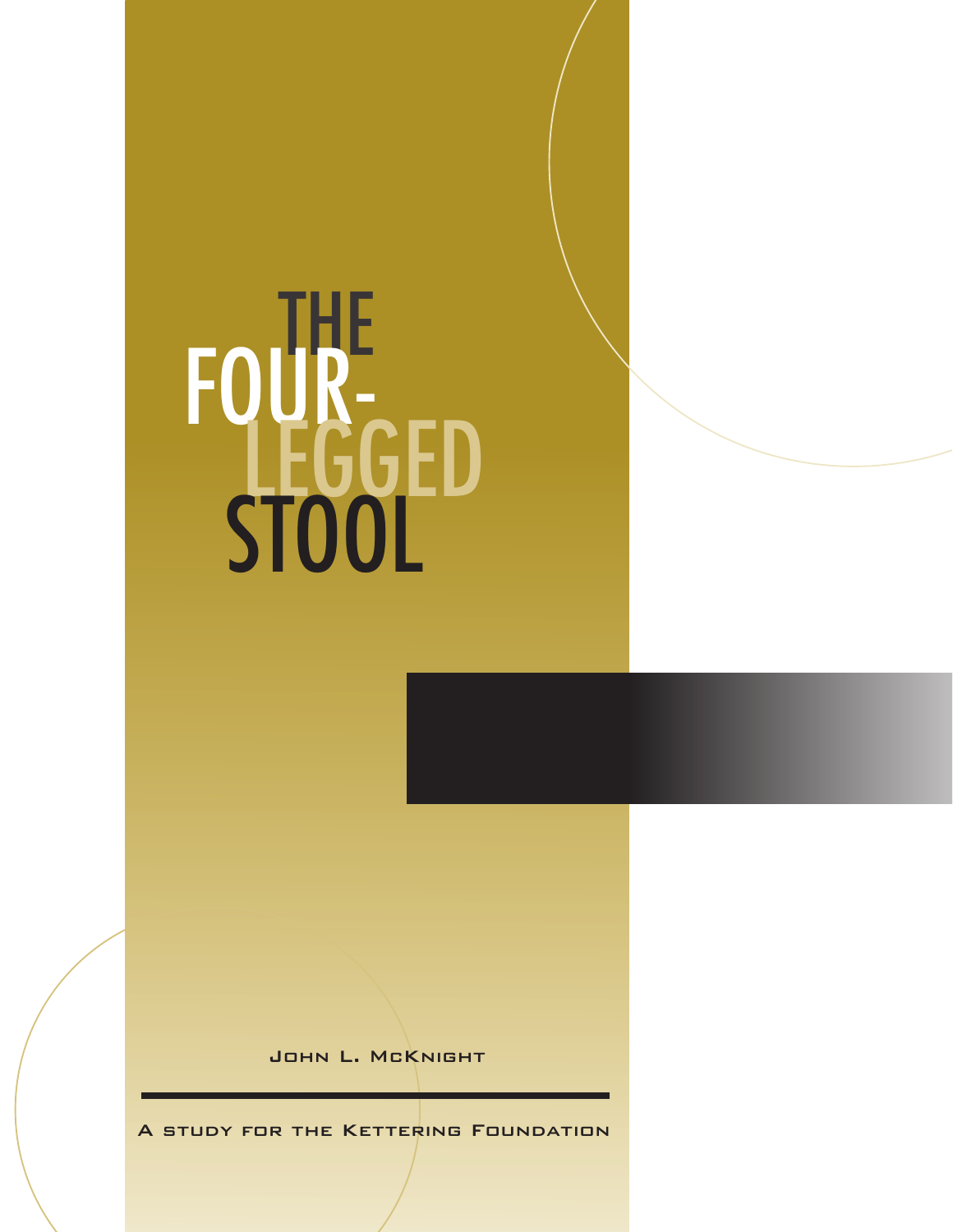## FOUR-<br>STOOL

John L. McKnight

A study for the Kettering Foundation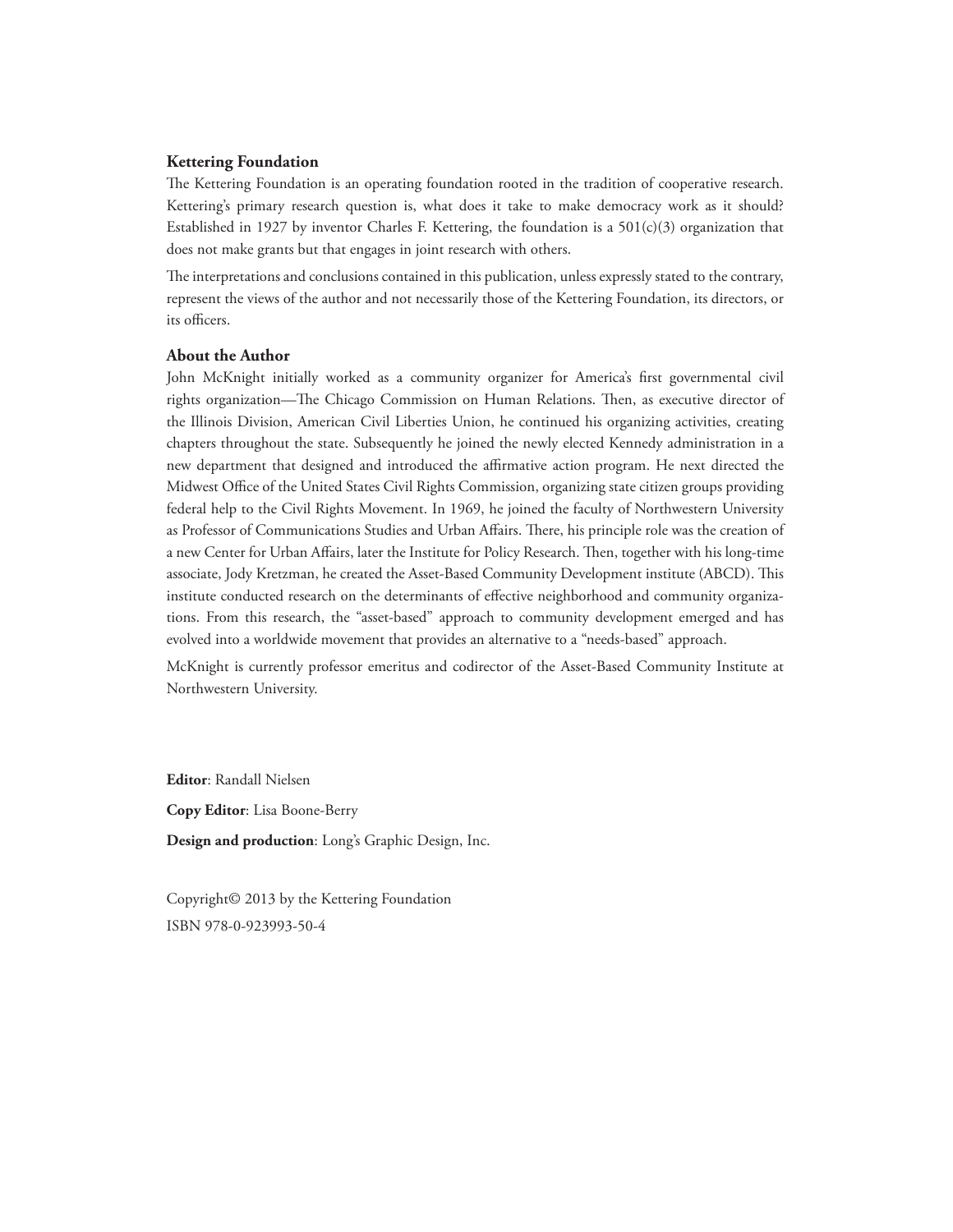## **Kettering Foundation**

The Kettering Foundation is an operating foundation rooted in the tradition of cooperative research. Kettering's primary research question is, what does it take to make democracy work as it should? Established in 1927 by inventor Charles F. Kettering, the foundation is a  $501(c)(3)$  organization that does not make grants but that engages in joint research with others.

The interpretations and conclusions contained in this publication, unless expressly stated to the contrary, represent the views of the author and not necessarily those of the Kettering Foundation, its directors, or its officers.

## **About the Author**

John McKnight initially worked as a community organizer for America's first governmental civil rights organization—The Chicago Commission on Human Relations. Then, as executive director of the Illinois Division, American Civil Liberties Union, he continued his organizing activities, creating chapters throughout the state. Subsequently he joined the newly elected Kennedy administration in a new department that designed and introduced the affirmative action program. He next directed the Midwest Office of the United States Civil Rights Commission, organizing state citizen groups providing federal help to the Civil Rights Movement. In 1969, he joined the faculty of Northwestern University as Professor of Communications Studies and Urban Affairs. There, his principle role was the creation of a new Center for Urban Affairs, later the Institute for Policy Research. Then, together with his long-time associate, Jody Kretzman, he created the Asset-Based Community Development institute (ABCD). This institute conducted research on the determinants of effective neighborhood and community organizations. From this research, the "asset-based" approach to community development emerged and has evolved into a worldwide movement that provides an alternative to a "needs-based" approach.

McKnight is currently professor emeritus and codirector of the Asset-Based Community Institute at Northwestern University.

**Editor**: Randall Nielsen

**Copy Editor**: Lisa Boone-Berry

**Design and production**: Long's Graphic Design, Inc.

Copyright© 2013 by the Kettering Foundation ISBN 978-0-923993-50-4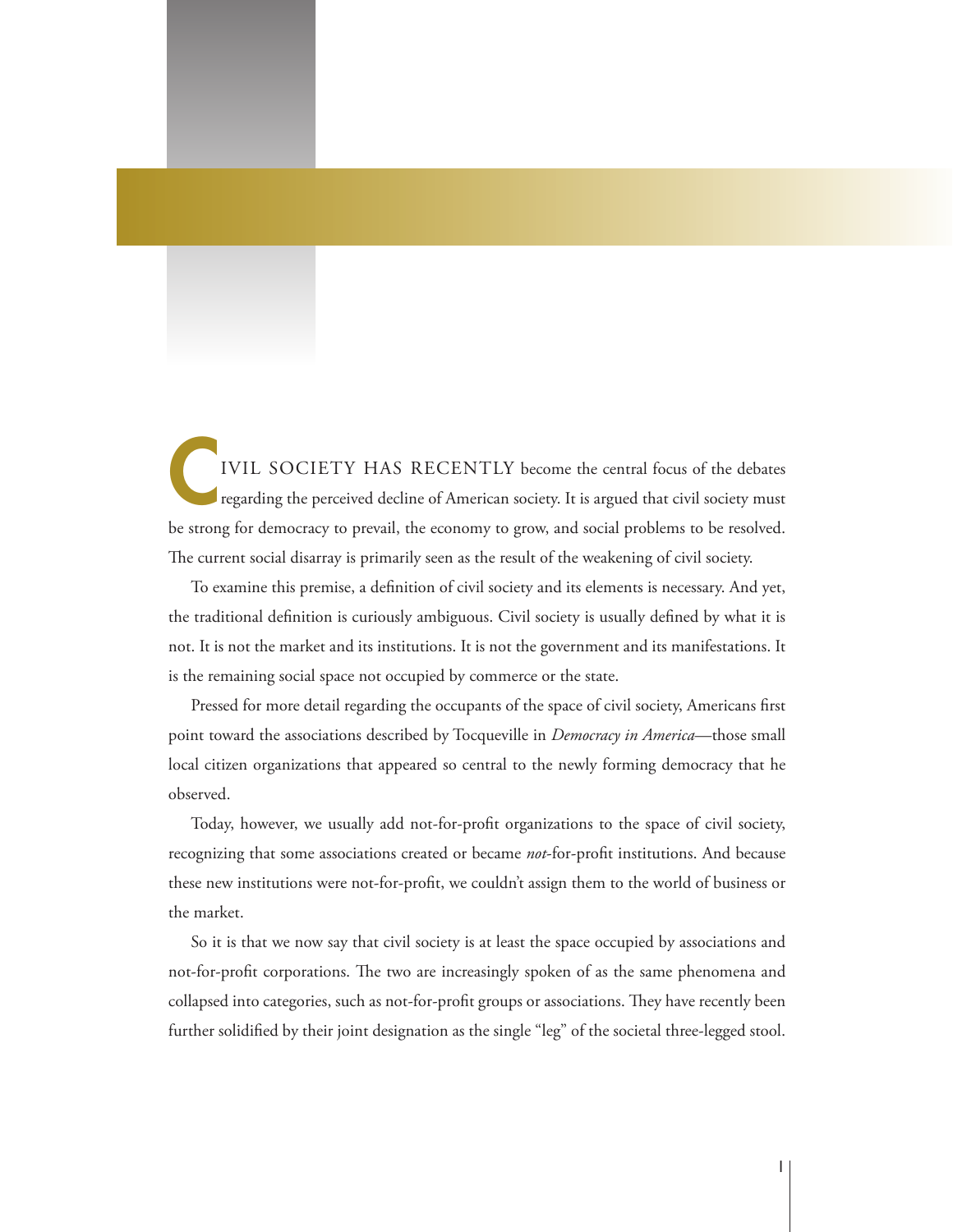IVIL SOCIETY HAS RECENTLY become the central focus of the debates regarding the perceived decline of American society. It is argued that civil society must be strong for democracy to prevail, the economy to grow, and social problems to be resolved. The current social disarray is primarily seen as the result of the weakening of civil society.

To examine this premise, a definition of civil society and its elements is necessary. And yet, the traditional definition is curiously ambiguous. Civil society is usually defined by what it is not. It is not the market and its institutions. It is not the government and its manifestations. It is the remaining social space not occupied by commerce or the state.

Pressed for more detail regarding the occupants of the space of civil society, Americans first point toward the associations described by Tocqueville in *Democracy in America*—those small local citizen organizations that appeared so central to the newly forming democracy that he observed.

Today, however, we usually add not-for-profit organizations to the space of civil society, recognizing that some associations created or became *not*-for-profit institutions. And because these new institutions were not-for-profit, we couldn't assign them to the world of business or the market.

So it is that we now say that civil society is at least the space occupied by associations and not-for-profit corporations. The two are increasingly spoken of as the same phenomena and collapsed into categories, such as not-for-profit groups or associations. They have recently been further solidified by their joint designation as the single "leg" of the societal three-legged stool.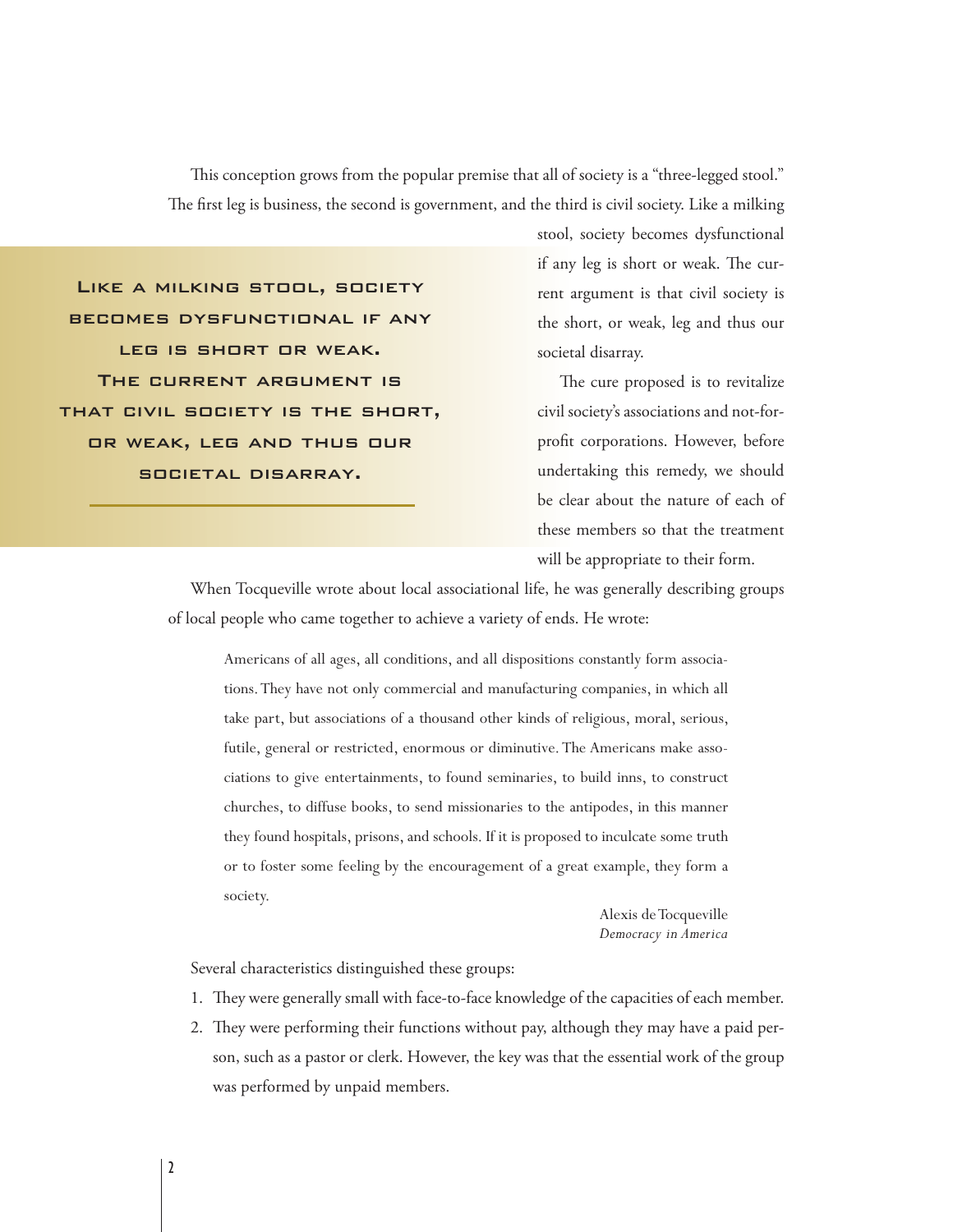This conception grows from the popular premise that all of society is a "three-legged stool." The first leg is business, the second is government, and the third is civil society. Like a milking

Like a milking stool, society becomes dysfunctional if any leg is short or weak. The current argument is that civil society is the short, or weak, leg and thus our societal disarray.

stool, society becomes dysfunctional if any leg is short or weak. The current argument is that civil society is the short, or weak, leg and thus our societal disarray.

The cure proposed is to revitalize civil society's associations and not-forprofit corporations. However, before undertaking this remedy, we should be clear about the nature of each of these members so that the treatment will be appropriate to their form.

When Tocqueville wrote about local associational life, he was generally describing groups of local people who came together to achieve a variety of ends. He wrote:

Americans of all ages, all conditions, and all dispositions constantly form associations. They have not only commercial and manufacturing companies, in which all take part, but associations of a thousand other kinds of religious, moral, serious, futile, general or restricted, enormous or diminutive. The Americans make associations to give entertainments, to found seminaries, to build inns, to construct churches, to diffuse books, to send missionaries to the antipodes, in this manner they found hospitals, prisons, and schools. If it is proposed to inculcate some truth or to foster some feeling by the encouragement of a great example, they form a society.

> Alexis de Tocqueville *Democracy in America*

Several characteristics distinguished these groups:

- 1. They were generally small with face-to-face knowledge of the capacities of each member.
- 2. They were performing their functions without pay, although they may have a paid person, such as a pastor or clerk. However, the key was that the essential work of the group was performed by unpaid members.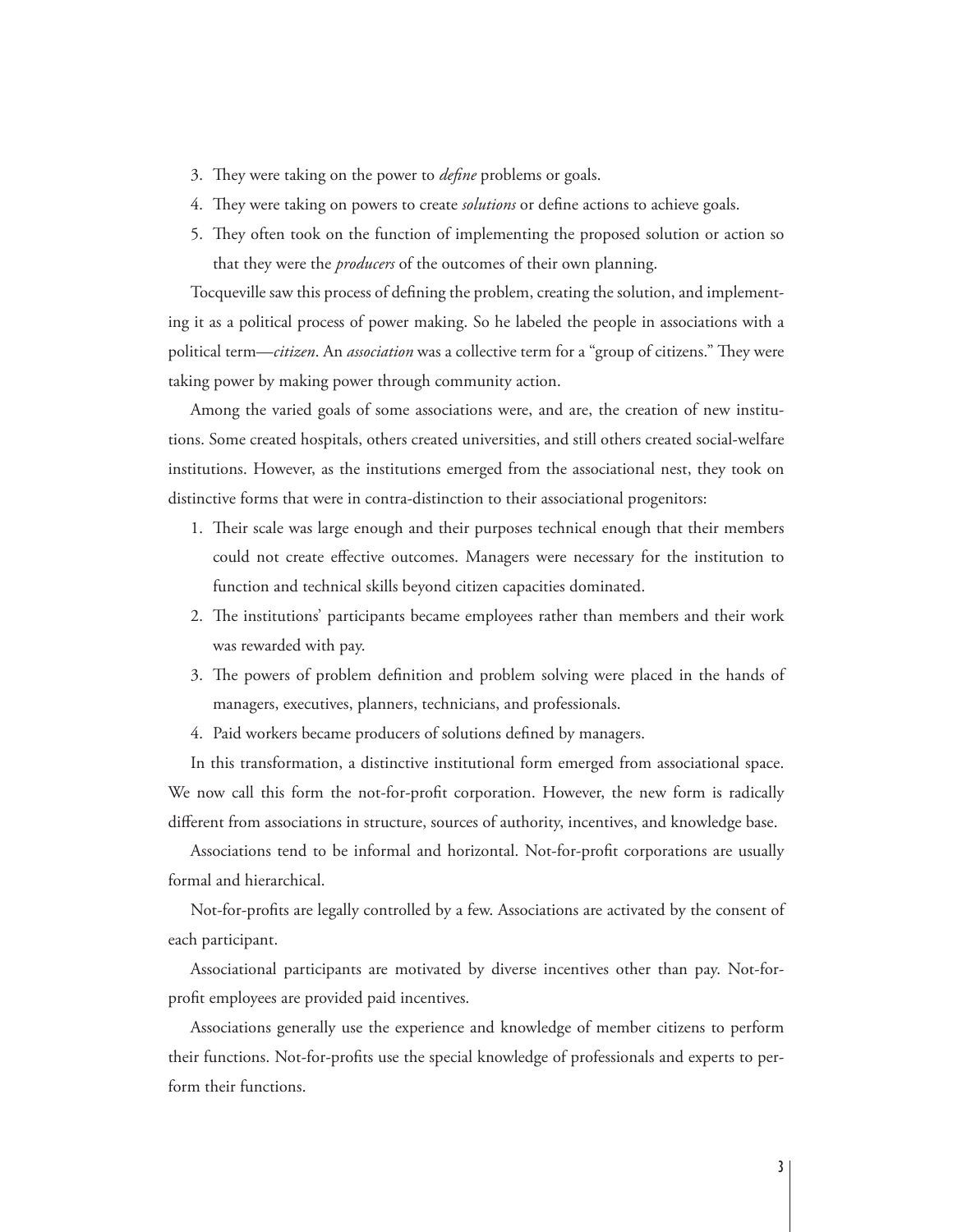- 3. They were taking on the power to *define* problems or goals.
- 4. They were taking on powers to create *solutions* or define actions to achieve goals.
- 5. They often took on the function of implementing the proposed solution or action so that they were the *producers* of the outcomes of their own planning.

Tocqueville saw this process of defining the problem, creating the solution, and implementing it as a political process of power making. So he labeled the people in associations with a political term—*citizen*. An *association* was a collective term for a "group of citizens." They were taking power by making power through community action.

Among the varied goals of some associations were, and are, the creation of new institutions. Some created hospitals, others created universities, and still others created social-welfare institutions. However, as the institutions emerged from the associational nest, they took on distinctive forms that were in contra-distinction to their associational progenitors:

- 1. Their scale was large enough and their purposes technical enough that their members could not create effective outcomes. Managers were necessary for the institution to function and technical skills beyond citizen capacities dominated.
- 2. The institutions' participants became employees rather than members and their work was rewarded with pay.
- 3. The powers of problem definition and problem solving were placed in the hands of managers, executives, planners, technicians, and professionals.
- 4. Paid workers became producers of solutions defined by managers.

In this transformation, a distinctive institutional form emerged from associational space. We now call this form the not-for-profit corporation. However, the new form is radically different from associations in structure, sources of authority, incentives, and knowledge base.

Associations tend to be informal and horizontal. Not-for-profit corporations are usually formal and hierarchical.

Not-for-profits are legally controlled by a few. Associations are activated by the consent of each participant.

Associational participants are motivated by diverse incentives other than pay. Not-forprofit employees are provided paid incentives.

Associations generally use the experience and knowledge of member citizens to perform their functions. Not-for-profits use the special knowledge of professionals and experts to perform their functions.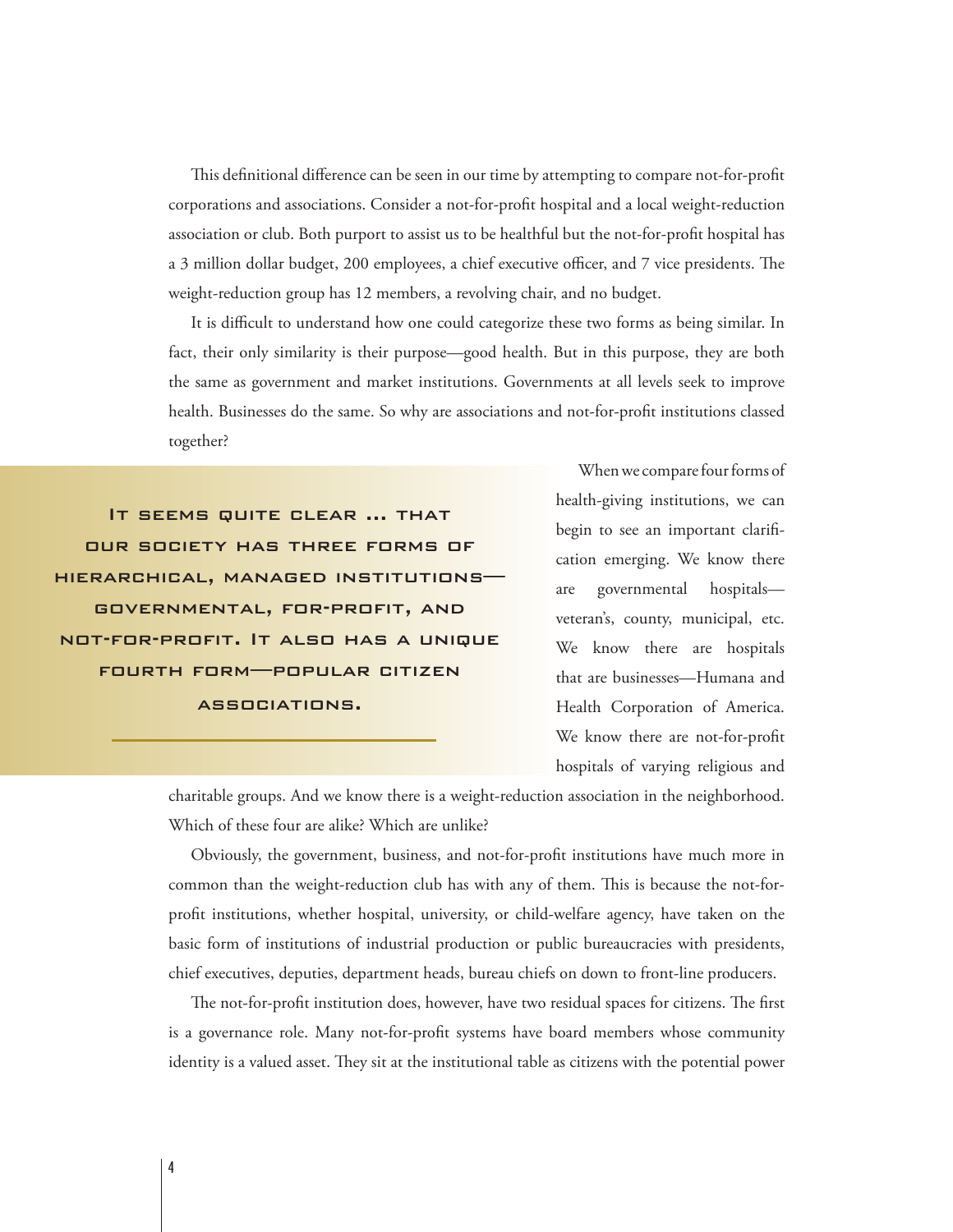This definitional difference can be seen in our time by attempting to compare not-for-profit corporations and associations. Consider a not-for-profit hospital and a local weight-reduction association or club. Both purport to assist us to be healthful but the not-for-profit hospital has a 3 million dollar budget, 200 employees, a chief executive officer, and 7 vice presidents. The weight-reduction group has 12 members, a revolving chair, and no budget.

It is difficult to understand how one could categorize these two forms as being similar. In fact, their only similarity is their purpose—good health. But in this purpose, they are both the same as government and market institutions. Governments at all levels seek to improve health. Businesses do the same. So why are associations and not-for-profit institutions classed together?

It seems quite clear … that our society has three forms of hierarchical, managed institutions— GOVERNMENTAL, FOR-PROFIT, AND NOT-FOR-PROFIT. IT ALSO HAS A UNIQUE fourth form—popular citizen associations.

When we compare four forms of health-giving institutions, we can begin to see an important clarification emerging. We know there are governmental hospitals veteran's, county, municipal, etc. We know there are hospitals that are businesses—Humana and Health Corporation of America. We know there are not-for-profit hospitals of varying religious and

charitable groups. And we know there is a weight-reduction association in the neighborhood. Which of these four are alike? Which are unlike?

Obviously, the government, business, and not-for-profit institutions have much more in common than the weight-reduction club has with any of them. This is because the not-forprofit institutions, whether hospital, university, or child-welfare agency, have taken on the basic form of institutions of industrial production or public bureaucracies with presidents, chief executives, deputies, department heads, bureau chiefs on down to front-line producers.

The not-for-profit institution does, however, have two residual spaces for citizens. The first is a governance role. Many not-for-profit systems have board members whose community identity is a valued asset. They sit at the institutional table as citizens with the potential power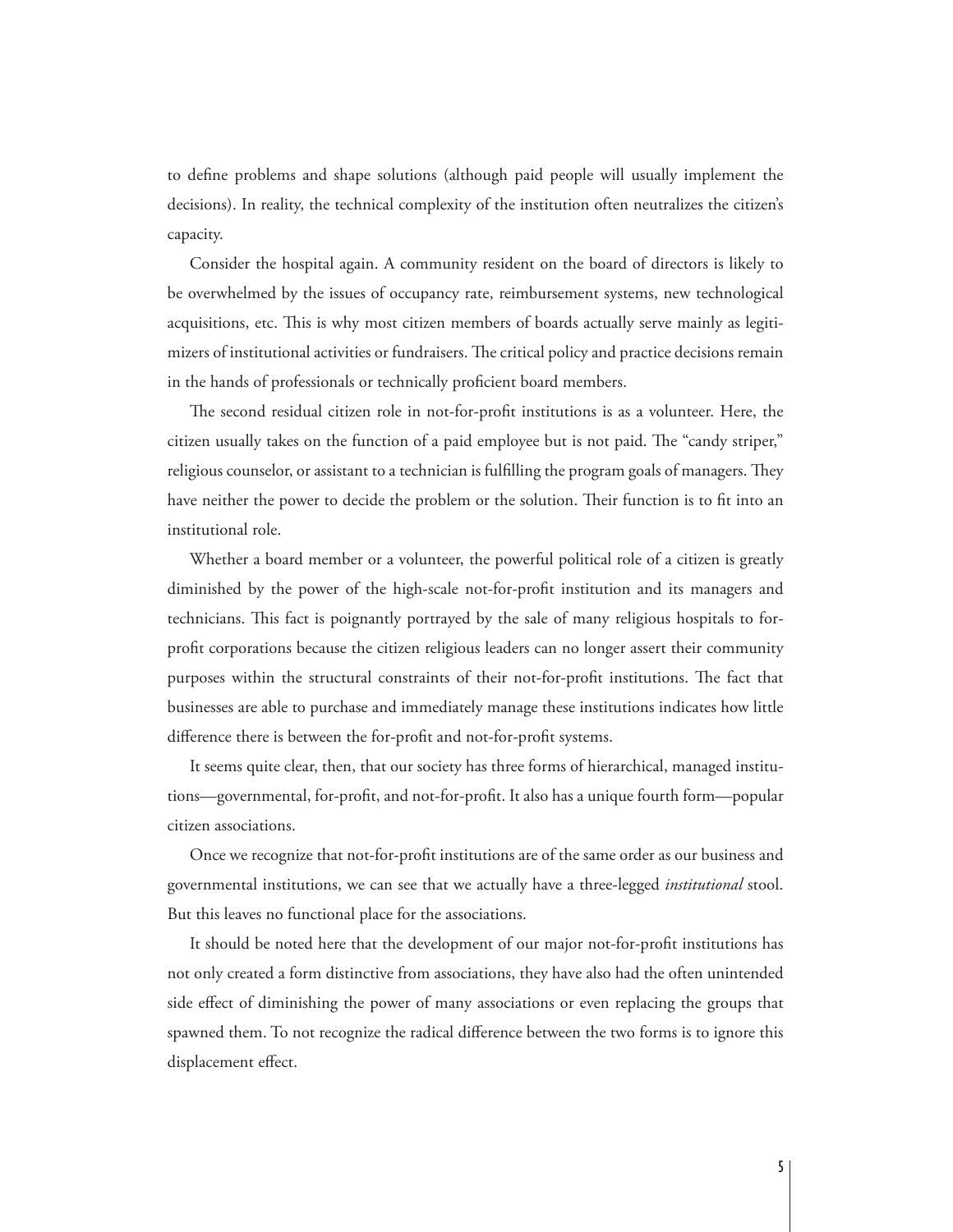to define problems and shape solutions (although paid people will usually implement the decisions). In reality, the technical complexity of the institution often neutralizes the citizen's capacity.

Consider the hospital again. A community resident on the board of directors is likely to be overwhelmed by the issues of occupancy rate, reimbursement systems, new technological acquisitions, etc. This is why most citizen members of boards actually serve mainly as legitimizers of institutional activities or fundraisers. The critical policy and practice decisions remain in the hands of professionals or technically proficient board members.

The second residual citizen role in not-for-profit institutions is as a volunteer. Here, the citizen usually takes on the function of a paid employee but is not paid. The "candy striper," religious counselor, or assistant to a technician is fulfilling the program goals of managers. They have neither the power to decide the problem or the solution. Their function is to fit into an institutional role.

Whether a board member or a volunteer, the powerful political role of a citizen is greatly diminished by the power of the high-scale not-for-profit institution and its managers and technicians. This fact is poignantly portrayed by the sale of many religious hospitals to forprofit corporations because the citizen religious leaders can no longer assert their community purposes within the structural constraints of their not-for-profit institutions. The fact that businesses are able to purchase and immediately manage these institutions indicates how little difference there is between the for-profit and not-for-profit systems.

It seems quite clear, then, that our society has three forms of hierarchical, managed institutions—governmental, for-profit, and not-for-profit. It also has a unique fourth form—popular citizen associations.

Once we recognize that not-for-profit institutions are of the same order as our business and governmental institutions, we can see that we actually have a three-legged *institutional* stool. But this leaves no functional place for the associations.

It should be noted here that the development of our major not-for-profit institutions has not only created a form distinctive from associations, they have also had the often unintended side effect of diminishing the power of many associations or even replacing the groups that spawned them. To not recognize the radical difference between the two forms is to ignore this displacement effect.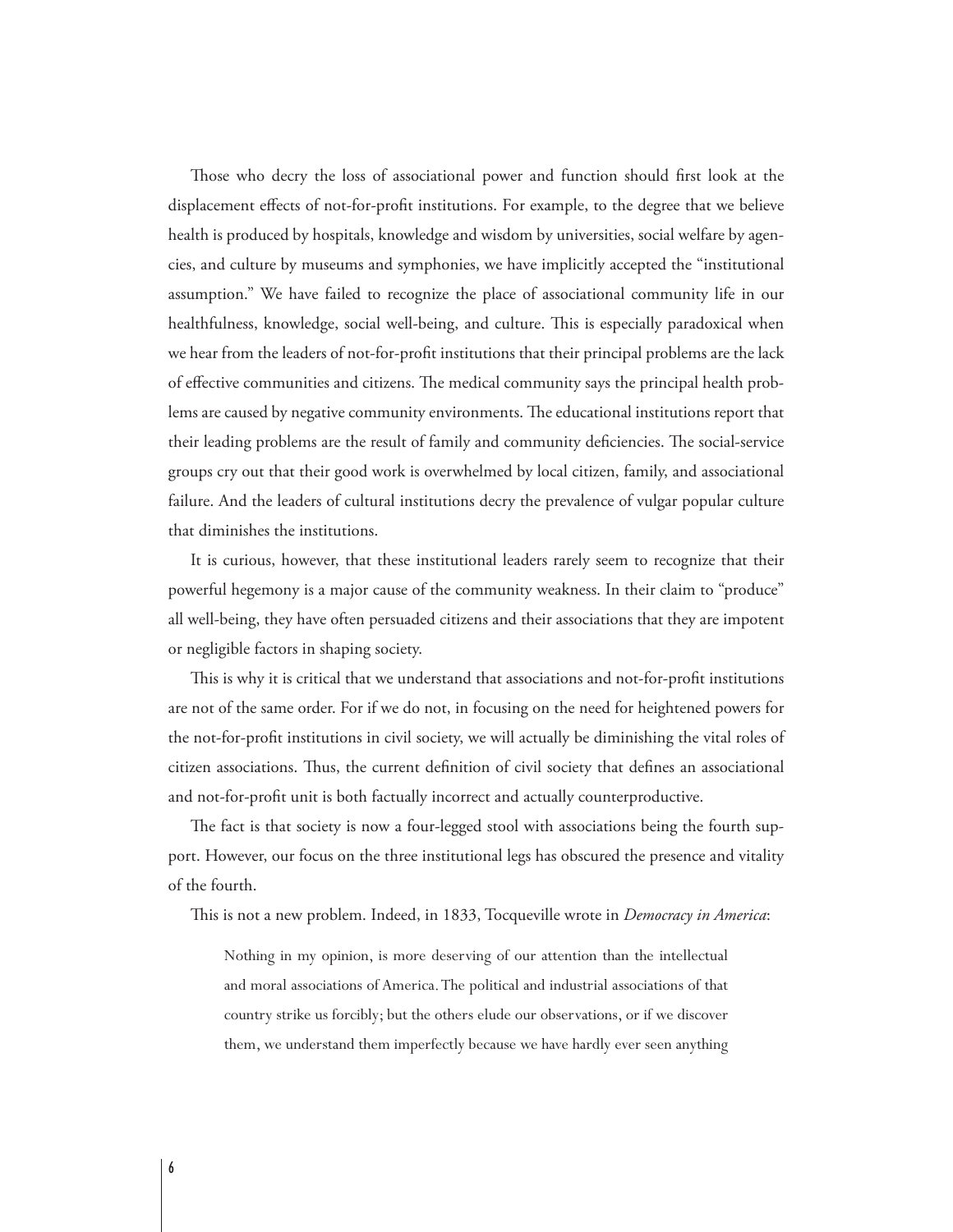Those who decry the loss of associational power and function should first look at the displacement effects of not-for-profit institutions. For example, to the degree that we believe health is produced by hospitals, knowledge and wisdom by universities, social welfare by agencies, and culture by museums and symphonies, we have implicitly accepted the "institutional assumption." We have failed to recognize the place of associational community life in our healthfulness, knowledge, social well-being, and culture. This is especially paradoxical when we hear from the leaders of not-for-profit institutions that their principal problems are the lack of effective communities and citizens. The medical community says the principal health problems are caused by negative community environments. The educational institutions report that their leading problems are the result of family and community deficiencies. The social-service groups cry out that their good work is overwhelmed by local citizen, family, and associational failure. And the leaders of cultural institutions decry the prevalence of vulgar popular culture that diminishes the institutions.

It is curious, however, that these institutional leaders rarely seem to recognize that their powerful hegemony is a major cause of the community weakness. In their claim to "produce" all well-being, they have often persuaded citizens and their associations that they are impotent or negligible factors in shaping society.

This is why it is critical that we understand that associations and not-for-profit institutions are not of the same order. For if we do not, in focusing on the need for heightened powers for the not-for-profit institutions in civil society, we will actually be diminishing the vital roles of citizen associations. Thus, the current definition of civil society that defines an associational and not-for-profit unit is both factually incorrect and actually counterproductive.

The fact is that society is now a four-legged stool with associations being the fourth support. However, our focus on the three institutional legs has obscured the presence and vitality of the fourth.

This is not a new problem. Indeed, in 1833, Tocqueville wrote in *Democracy in America*:

Nothing in my opinion, is more deserving of our attention than the intellectual and moral associations of America. The political and industrial associations of that country strike us forcibly; but the others elude our observations, or if we discover them, we understand them imperfectly because we have hardly ever seen anything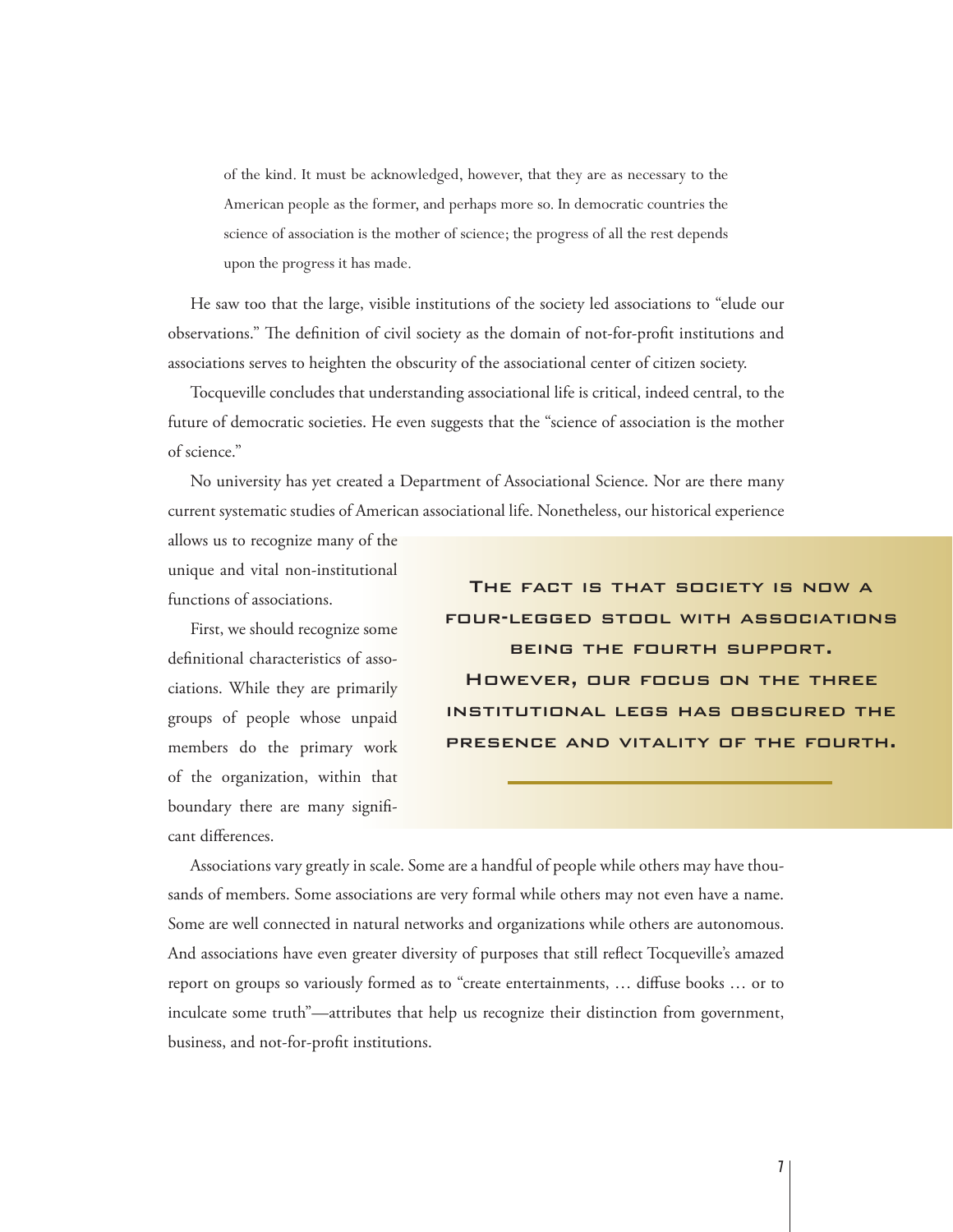of the kind. It must be acknowledged, however, that they are as necessary to the American people as the former, and perhaps more so. In democratic countries the science of association is the mother of science; the progress of all the rest depends upon the progress it has made.

He saw too that the large, visible institutions of the society led associations to "elude our observations." The definition of civil society as the domain of not-for-profit institutions and associations serves to heighten the obscurity of the associational center of citizen society.

Tocqueville concludes that understanding associational life is critical, indeed central, to the future of democratic societies. He even suggests that the "science of association is the mother of science."

No university has yet created a Department of Associational Science. Nor are there many current systematic studies of American associational life. Nonetheless, our historical experience

allows us to recognize many of the unique and vital non-institutional functions of associations.

First, we should recognize some definitional characteristics of associations. While they are primarily groups of people whose unpaid members do the primary work of the organization, within that boundary there are many significant differences.

The fact is that society is now a four-legged stool with associations being the fourth support. However, our focus on the three institutional legs has obscured the presence and vitality of the fourth.

Associations vary greatly in scale. Some are a handful of people while others may have thousands of members. Some associations are very formal while others may not even have a name. Some are well connected in natural networks and organizations while others are autonomous. And associations have even greater diversity of purposes that still reflect Tocqueville's amazed report on groups so variously formed as to "create entertainments, ... diffuse books ... or to inculcate some truth"—attributes that help us recognize their distinction from government, business, and not-for-profit institutions.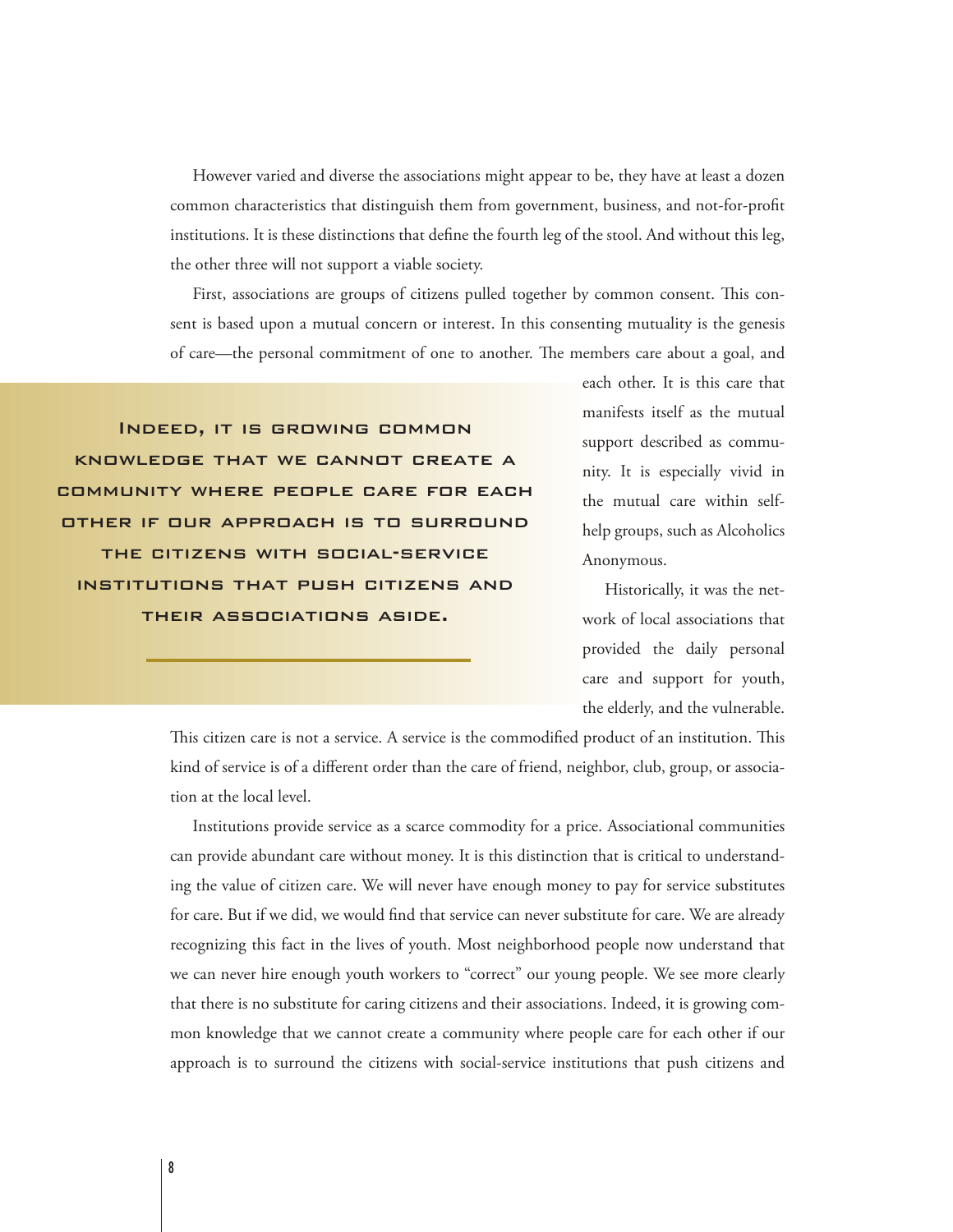However varied and diverse the associations might appear to be, they have at least a dozen common characteristics that distinguish them from government, business, and not-for-profit institutions. It is these distinctions that define the fourth leg of the stool. And without this leg, the other three will not support a viable society.

First, associations are groups of citizens pulled together by common consent. This consent is based upon a mutual concern or interest. In this consenting mutuality is the genesis of care—the personal commitment of one to another. The members care about a goal, and

Indeed, it is growing common knowledge that we cannot create a community where people care for each other if our approach is to surround the citizens with social-service institutions that push citizens and their associations aside.

each other. It is this care that manifests itself as the mutual support described as community. It is especially vivid in the mutual care within selfhelp groups, such as Alcoholics Anonymous.

Historically, it was the network of local associations that provided the daily personal care and support for youth, the elderly, and the vulnerable.

This citizen care is not a service. A service is the commodified product of an institution. This kind of service is of a different order than the care of friend, neighbor, club, group, or association at the local level.

Institutions provide service as a scarce commodity for a price. Associational communities can provide abundant care without money. It is this distinction that is critical to understanding the value of citizen care. We will never have enough money to pay for service substitutes for care. But if we did, we would find that service can never substitute for care. We are already recognizing this fact in the lives of youth. Most neighborhood people now understand that we can never hire enough youth workers to "correct" our young people. We see more clearly that there is no substitute for caring citizens and their associations. Indeed, it is growing common knowledge that we cannot create a community where people care for each other if our approach is to surround the citizens with social-service institutions that push citizens and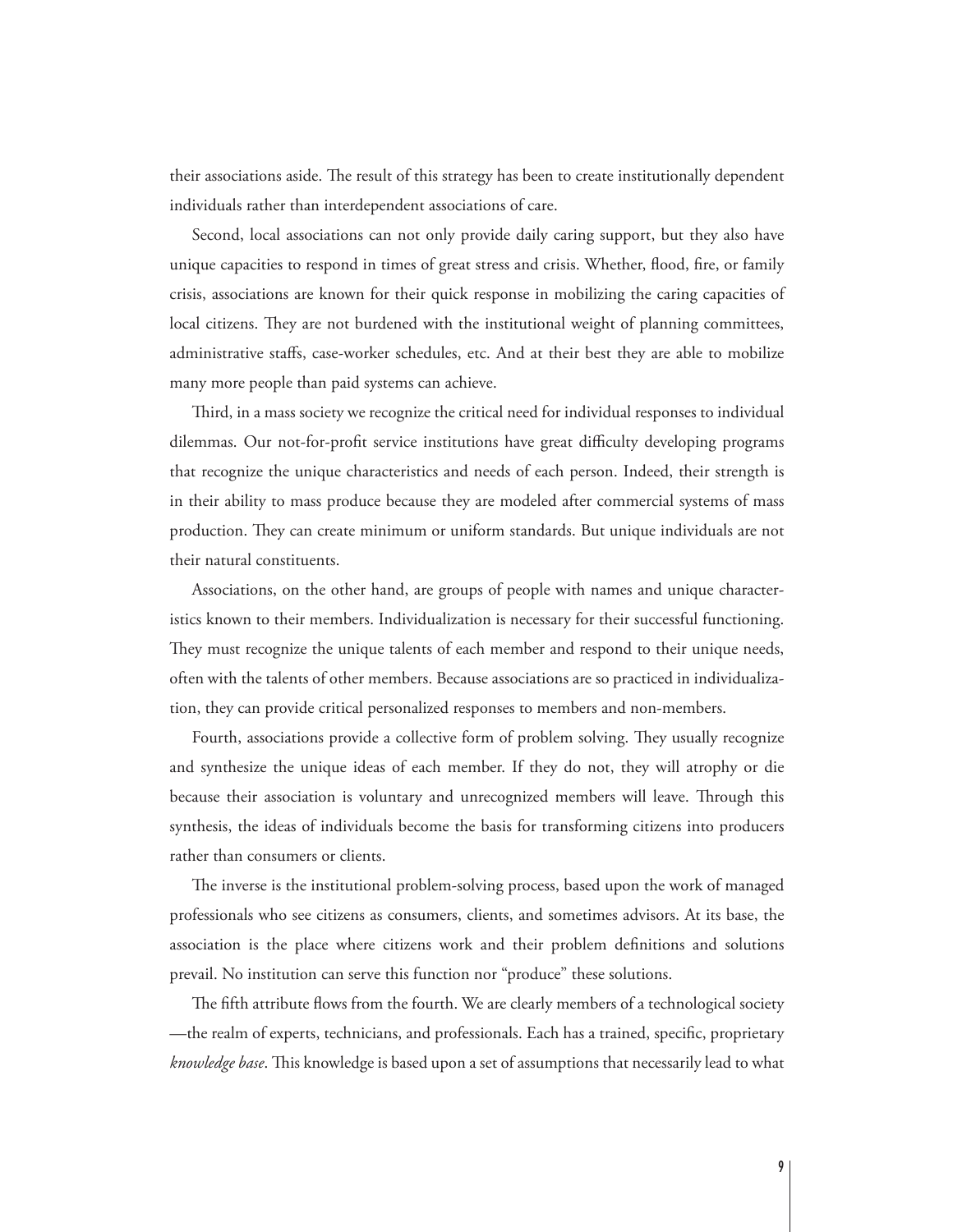their associations aside. The result of this strategy has been to create institutionally dependent individuals rather than interdependent associations of care.

Second, local associations can not only provide daily caring support, but they also have unique capacities to respond in times of great stress and crisis. Whether, flood, fire, or family crisis, associations are known for their quick response in mobilizing the caring capacities of local citizens. They are not burdened with the institutional weight of planning committees, administrative staffs, case-worker schedules, etc. And at their best they are able to mobilize many more people than paid systems can achieve.

Third, in a mass society we recognize the critical need for individual responses to individual dilemmas. Our not-for-profit service institutions have great difficulty developing programs that recognize the unique characteristics and needs of each person. Indeed, their strength is in their ability to mass produce because they are modeled after commercial systems of mass production. They can create minimum or uniform standards. But unique individuals are not their natural constituents.

Associations, on the other hand, are groups of people with names and unique characteristics known to their members. Individualization is necessary for their successful functioning. They must recognize the unique talents of each member and respond to their unique needs, often with the talents of other members. Because associations are so practiced in individualization, they can provide critical personalized responses to members and non-members.

Fourth, associations provide a collective form of problem solving. They usually recognize and synthesize the unique ideas of each member. If they do not, they will atrophy or die because their association is voluntary and unrecognized members will leave. Through this synthesis, the ideas of individuals become the basis for transforming citizens into producers rather than consumers or clients.

The inverse is the institutional problem-solving process, based upon the work of managed professionals who see citizens as consumers, clients, and sometimes advisors. At its base, the association is the place where citizens work and their problem definitions and solutions prevail. No institution can serve this function nor "produce" these solutions.

The fifth attribute flows from the fourth. We are clearly members of a technological society —the realm of experts, technicians, and professionals. Each has a trained, specific, proprietary *knowledge base*. This knowledge is based upon a set of assumptions that necessarily lead to what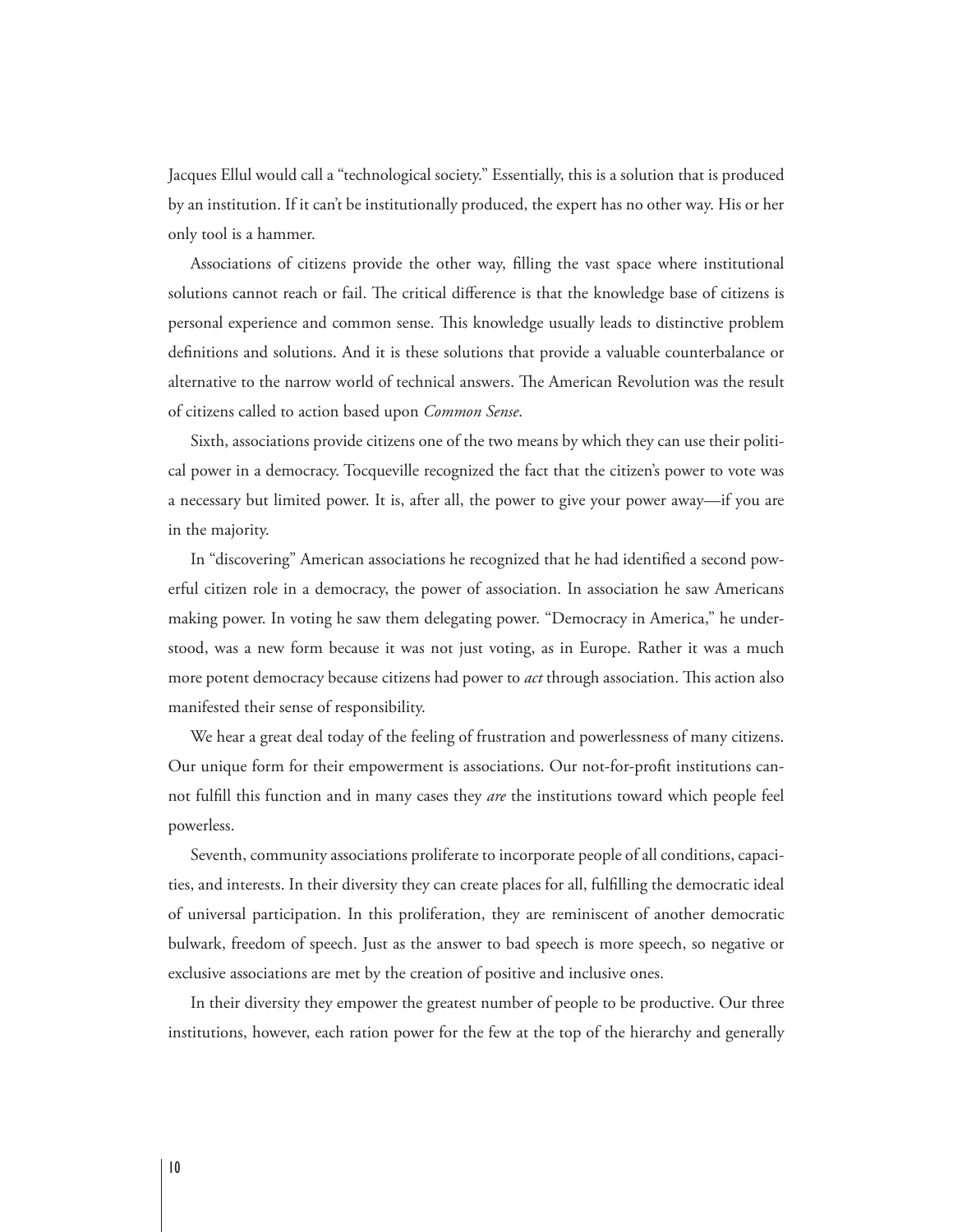Jacques Ellul would call a "technological society." Essentially, this is a solution that is produced by an institution. If it can't be institutionally produced, the expert has no other way. His or her only tool is a hammer.

Associations of citizens provide the other way, #lling the vast space where institutional solutions cannot reach or fail. The critical difference is that the knowledge base of citizens is personal experience and common sense. This knowledge usually leads to distinctive problem definitions and solutions. And it is these solutions that provide a valuable counterbalance or alternative to the narrow world of technical answers. The American Revolution was the result of citizens called to action based upon *Common Sense*.

Sixth, associations provide citizens one of the two means by which they can use their political power in a democracy. Tocqueville recognized the fact that the citizen's power to vote was a necessary but limited power. It is, after all, the power to give your power away—if you are in the majority.

In "discovering" American associations he recognized that he had identified a second powerful citizen role in a democracy, the power of association. In association he saw Americans making power. In voting he saw them delegating power. "Democracy in America," he understood, was a new form because it was not just voting, as in Europe. Rather it was a much more potent democracy because citizens had power to *act* through association. This action also manifested their sense of responsibility.

We hear a great deal today of the feeling of frustration and powerlessness of many citizens. Our unique form for their empowerment is associations. Our not-for-profit institutions cannot fulfill this function and in many cases they *are* the institutions toward which people feel powerless.

Seventh, community associations proliferate to incorporate people of all conditions, capacities, and interests. In their diversity they can create places for all, fulfilling the democratic ideal of universal participation. In this proliferation, they are reminiscent of another democratic bulwark, freedom of speech. Just as the answer to bad speech is more speech, so negative or exclusive associations are met by the creation of positive and inclusive ones.

In their diversity they empower the greatest number of people to be productive. Our three institutions, however, each ration power for the few at the top of the hierarchy and generally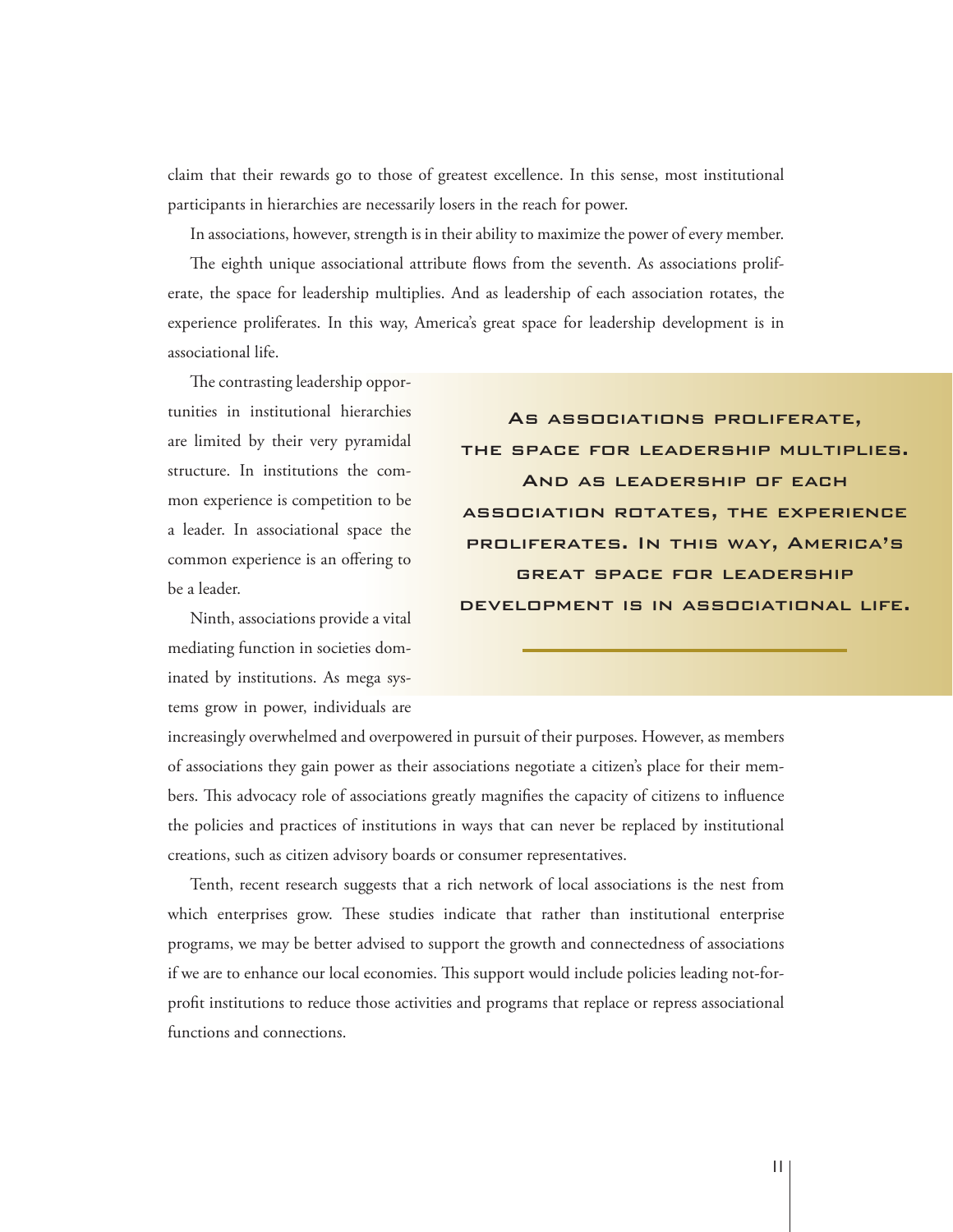claim that their rewards go to those of greatest excellence. In this sense, most institutional participants in hierarchies are necessarily losers in the reach for power.

In associations, however, strength is in their ability to maximize the power of every member.

The eighth unique associational attribute flows from the seventh. As associations proliferate, the space for leadership multiplies. And as leadership of each association rotates, the experience proliferates. In this way, America's great space for leadership development is in associational life.

The contrasting leadership opportunities in institutional hierarchies are limited by their very pyramidal structure. In institutions the common experience is competition to be a leader. In associational space the common experience is an offering to be a leader.

Ninth, associations provide a vital mediating function in societies dominated by institutions. As mega systems grow in power, individuals are

As associations proliferate, the space for leadership multiplies. And as leadership of each association rotates, the experience proliferates. In this way, America's great space for leadership development is in associational life.

increasingly overwhelmed and overpowered in pursuit of their purposes. However, as members of associations they gain power as their associations negotiate a citizen's place for their members. This advocacy role of associations greatly magnifies the capacity of citizens to influence the policies and practices of institutions in ways that can never be replaced by institutional creations, such as citizen advisory boards or consumer representatives.

Tenth, recent research suggests that a rich network of local associations is the nest from which enterprises grow. These studies indicate that rather than institutional enterprise programs, we may be better advised to support the growth and connectedness of associations if we are to enhance our local economies. This support would include policies leading not-forprofit institutions to reduce those activities and programs that replace or repress associational functions and connections.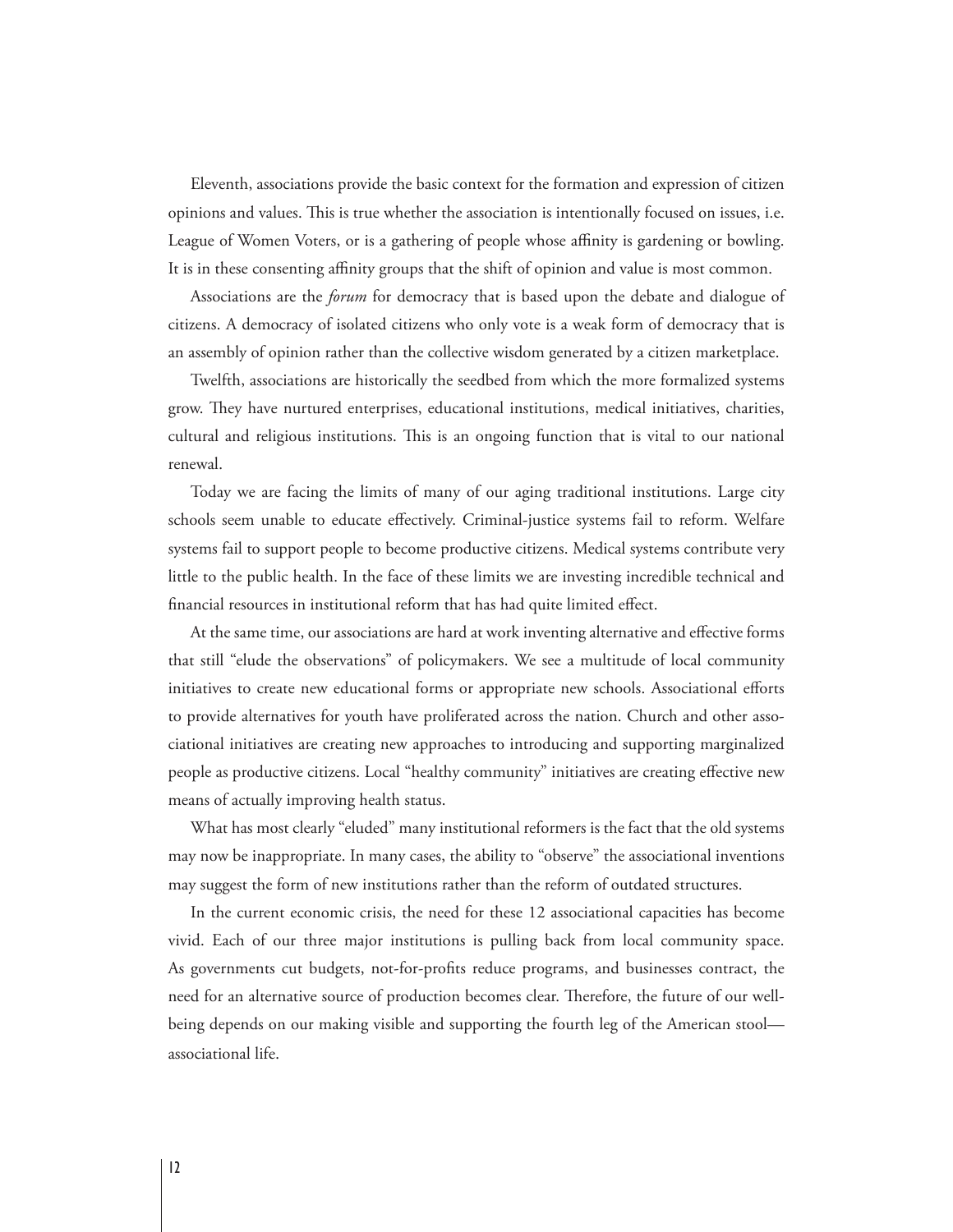Eleventh, associations provide the basic context for the formation and expression of citizen opinions and values. This is true whether the association is intentionally focused on issues, i.e. League of Women Voters, or is a gathering of people whose affinity is gardening or bowling. It is in these consenting affinity groups that the shift of opinion and value is most common.

Associations are the *forum* for democracy that is based upon the debate and dialogue of citizens. A democracy of isolated citizens who only vote is a weak form of democracy that is an assembly of opinion rather than the collective wisdom generated by a citizen marketplace.

Twelfth, associations are historically the seedbed from which the more formalized systems grow. They have nurtured enterprises, educational institutions, medical initiatives, charities, cultural and religious institutions. This is an ongoing function that is vital to our national renewal.

Today we are facing the limits of many of our aging traditional institutions. Large city schools seem unable to educate effectively. Criminal-justice systems fail to reform. Welfare systems fail to support people to become productive citizens. Medical systems contribute very little to the public health. In the face of these limits we are investing incredible technical and financial resources in institutional reform that has had quite limited effect.

At the same time, our associations are hard at work inventing alternative and effective forms that still "elude the observations" of policymakers. We see a multitude of local community initiatives to create new educational forms or appropriate new schools. Associational efforts to provide alternatives for youth have proliferated across the nation. Church and other associational initiatives are creating new approaches to introducing and supporting marginalized people as productive citizens. Local "healthy community" initiatives are creating effective new means of actually improving health status.

What has most clearly "eluded" many institutional reformers is the fact that the old systems may now be inappropriate. In many cases, the ability to "observe" the associational inventions may suggest the form of new institutions rather than the reform of outdated structures.

In the current economic crisis, the need for these 12 associational capacities has become vivid. Each of our three major institutions is pulling back from local community space. As governments cut budgets, not-for-profits reduce programs, and businesses contract, the need for an alternative source of production becomes clear. Therefore, the future of our wellbeing depends on our making visible and supporting the fourth leg of the American stool associational life.